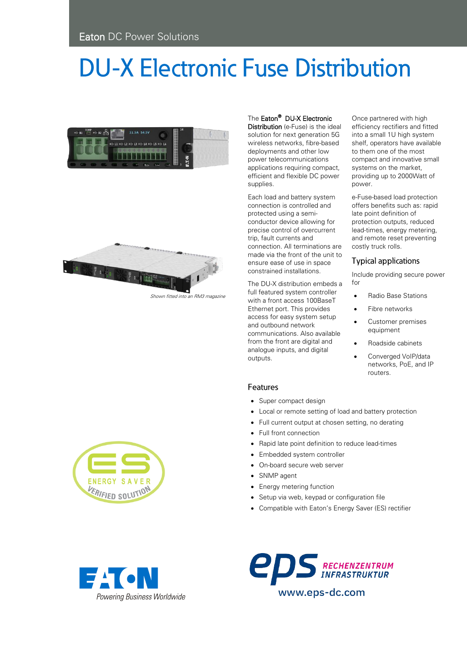# **DU-X Electronic Fuse Distribution**





Shown fitted into an RM3 magazine

The Eaton<sup>®</sup> DU-X Electronic

Distribution (e-Fuse) is the ideal solution for next generation 5G wireless networks, fibre-based deployments and other low power telecommunications applications requiring compact, efficient and flexible DC power supplies.

Each load and battery system connection is controlled and protected using a semiconductor device allowing for precise control of overcurrent trip, fault currents and connection. All terminations are made via the front of the unit to ensure ease of use in space constrained installations.

The DU-X distribution embeds a full featured system controller with a front access 100BaseT Ethernet port. This provides access for easy system setup and outbound network communications. Also available from the front are digital and analogue inputs, and digital outputs.

Once partnered with high efficiency rectifiers and fitted into a small 1U high system shelf, operators have available to them one of the most compact and innovative small systems on the market, providing up to 2000Watt of power.

e-Fuse-based load protection offers benefits such as: rapid late point definition of protection outputs, reduced lead-times, energy metering, and remote reset preventing costly truck rolls.

## **Typical applications**

Include providing secure power for

- Radio Base Stations
- Fibre networks
- Customer premises equipment
- Roadside cabinets
- Converged VoIP/data networks, PoE, and IP routers.

### Features

- Super compact design
- Local or remote setting of load and battery protection
- Full current output at chosen setting, no derating
- Full front connection
- Rapid late point definition to reduce lead-times
- Embedded system controller
- On-board secure web server
- SNMP agent
- **Energy metering function**
- Setup via web, keypad or configuration file
- Compatible with Eaton's Energy Saver (ES) rectifier